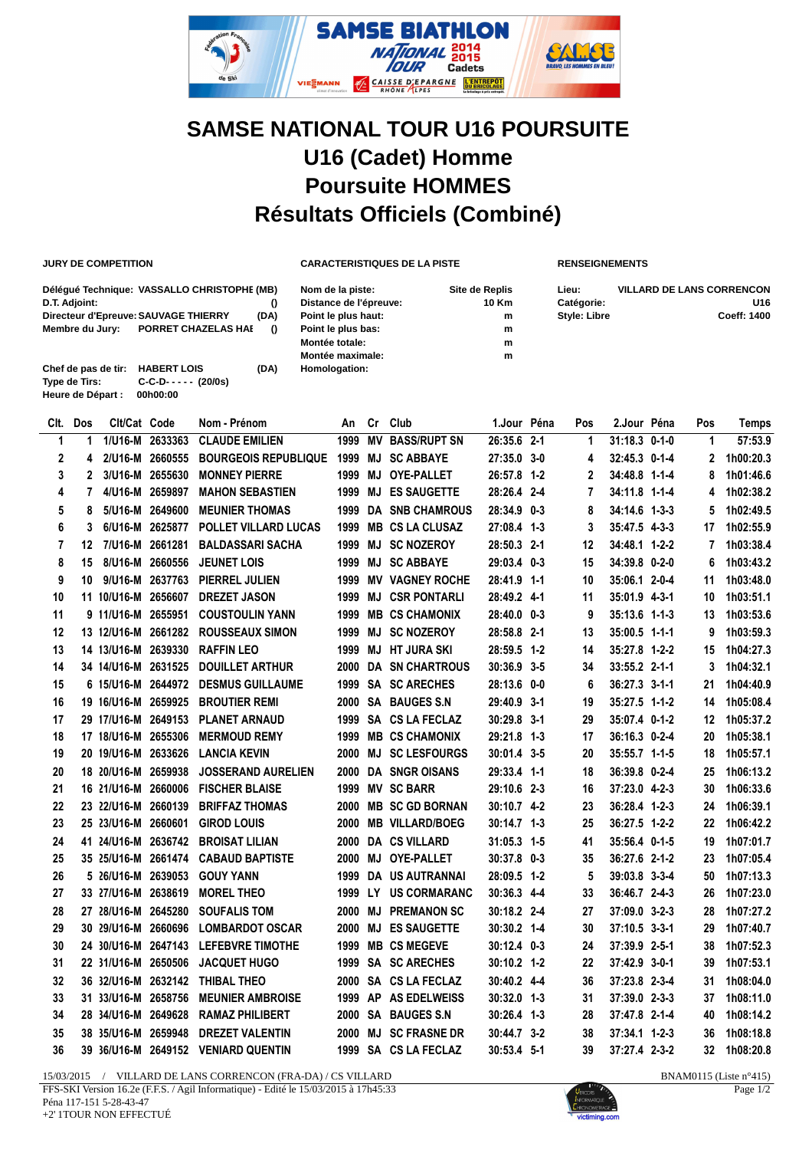

## **SAMSE NATIONAL TOUR U16 POURSUITE U16 (Cadet) Homme Poursuite HOMMES Résultats Officiels (Combiné)**

**JURY DE COMPETITION CARACTERISTIQUES DE LA PISTE RENSEIGNEMENTS**

| D.T. Adjoint:<br>Membre du Jury:                          | Déléqué Technique: VASSALLO CHRISTOPHE (MB)<br>Directeur d'Epreuve: SAUVAGE THIERRY<br><b>PORRET CHAZELAS HAI</b> | (DA)<br>$\theta$ | Nom de la piste:<br>Distance de l'épreuve:<br>Point le plus haut:<br>Point le plus bas:<br>Montée totale:<br>Montée maximale: | Site de Replis<br>10 Km<br>m<br>m<br>m<br>m | Lieu:<br>Catégorie:<br><b>Style: Libre</b> | <b>VILLARD DE LANS CORRENCON</b><br>U <sub>16</sub><br><b>Coeff: 1400</b> |
|-----------------------------------------------------------|-------------------------------------------------------------------------------------------------------------------|------------------|-------------------------------------------------------------------------------------------------------------------------------|---------------------------------------------|--------------------------------------------|---------------------------------------------------------------------------|
| Chef de pas de tir:<br>Type de Tirs:<br>Heure de Départ : | <b>HABERT LOIS</b><br>$C-C-D----(20/0s)$<br>00h00:00                                                              | (DA)             | Homologation:                                                                                                                 |                                             |                                            |                                                                           |

| Clt.           | Dos | Clt/Cat Code        |                 | Nom - Prénom                        | An   | Cr | Club                   | 1.Jour Péna     | Pos | 2.Jour Péna     | Pos | Temps     |
|----------------|-----|---------------------|-----------------|-------------------------------------|------|----|------------------------|-----------------|-----|-----------------|-----|-----------|
| 1              | 1   |                     | 1/U16-M 2633363 | <b>CLAUDE EMILIEN</b>               | 1999 | ΜV | <b>BASS/RUPT SN</b>    | 26:35.6 2-1     | 1   | $31:18.3$ 0-1-0 | 1   | 57:53.9   |
| $\overline{2}$ | 4   |                     | 2/U16-M 2660555 | <b>BOURGEOIS REPUBLIQUE</b>         | 1999 |    | <b>MJ SC ABBAYE</b>    | 27:35.0 3-0     | 4   | 32:45.3 0-1-4   | 2   | 1h00:20.3 |
| 3              | 2   |                     | 3/U16-M 2655630 | <b>MONNEY PIERRE</b>                | 1999 | MJ | <b>OYE-PALLET</b>      | 26:57.8 1-2     | 2   | 34:48.8 1-1-4   | 8   | 1h01:46.6 |
| 4              | 7   |                     | 4/U16-M 2659897 | <b>MAHON SEBASTIEN</b>              | 1999 | MJ | <b>ES SAUGETTE</b>     | 28:26.4 2-4     | 7   | 34:11.8 1-1-4   | 4   | 1h02:38.2 |
| 5              | 8   |                     | 5/U16-M 2649600 | <b>MEUNIER THOMAS</b>               | 1999 |    | <b>DA SNB CHAMROUS</b> | 28:34.9 0-3     | 8   | 34:14.6 1-3-3   | 5   | 1h02:49.5 |
| 6              | 3   |                     | 6/U16-M 2625877 | POLLET VILLARD LUCAS                | 1999 |    | <b>MB CS LA CLUSAZ</b> | 27:08.4 1-3     | 3   | 35:47.5 4-3-3   | 17  | 1h02:55.9 |
| $\overline{7}$ | 12  | 7/U16-M 2661281     |                 | <b>BALDASSARI SACHA</b>             | 1999 |    | <b>MJ SC NOZEROY</b>   | 28:50.3 2-1     | 12  | 34:48.1 1-2-2   | 7   | 1h03:38.4 |
| 8              | 15  | 8/U16-M 2660556     |                 | <b>JEUNET LOIS</b>                  | 1999 |    | <b>MJ SC ABBAYE</b>    | 29:03.4 0-3     | 15  | 34:39.8 0-2-0   | 6   | 1h03:43.2 |
| 9              | 10  |                     | 9/U16-M 2637763 | PIERREL JULIEN                      | 1999 |    | <b>MV VAGNEY ROCHE</b> | 28:41.9 1-1     | 10  | 35:06.1 2-0-4   | 11  | 1h03:48.0 |
| 10             |     | 11 10/U16-M 2656607 |                 | <b>DREZET JASON</b>                 | 1999 |    | <b>MJ CSR PONTARLI</b> | 28:49.2 4-1     | 11  | 35:01.9 4-3-1   | 10  | 1h03:51.1 |
| 11             |     | 9 11/U16-M 2655951  |                 | <b>COUSTOULIN YANN</b>              | 1999 |    | <b>MB CS CHAMONIX</b>  | 28:40.0 0-3     | 9   | 35:13.6 1-1-3   | 13  | 1h03:53.6 |
| 12             |     | 13 12/U16-M 2661282 |                 | <b>ROUSSEAUX SIMON</b>              | 1999 |    | <b>MJ SC NOZEROY</b>   | 28:58.8 2-1     | 13  | $35:00.5$ 1-1-1 | 9   | 1h03:59.3 |
| 13             |     | 14 13/U16-M 2639330 |                 | <b>RAFFIN LEO</b>                   | 1999 |    | <b>MJ HT JURA SKI</b>  | 28:59.5 1-2     | 14  | 35:27.8 1-2-2   | 15  | 1h04:27.3 |
| 14             |     | 34 14/U16-M 2631525 |                 | <b>DOUILLET ARTHUR</b>              | 2000 |    | <b>DA SN CHARTROUS</b> | 30:36.9 3-5     | 34  | 33:55.2 2-1-1   | 3   | 1h04:32.1 |
| 15             |     | 6 15/U16-M 2644972  |                 | <b>DESMUS GUILLAUME</b>             |      |    | 1999 SA SC ARECHES     | 28:13.6 0-0     | 6   | 36:27.3 3-1-1   | 21  | 1h04:40.9 |
| 16             |     | 19 16/U16-M 2659925 |                 | <b>BROUTIER REMI</b>                | 2000 |    | <b>SA BAUGES S.N</b>   | 29:40.9 3-1     | 19  | 35:27.5 1-1-2   | 14  | 1h05:08.4 |
| 17             |     | 29 17/U16-M 2649153 |                 | <b>PLANET ARNAUD</b>                | 1999 |    | SA CS LA FECLAZ        | 30:29.8 3-1     | 29  | 35:07.4 0-1-2   | 12  | 1h05:37.2 |
| 18             |     | 17 18/U16-M 2655306 |                 | <b>MERMOUD REMY</b>                 | 1999 |    | <b>MB CS CHAMONIX</b>  | 29:21.8 1-3     | 17  | 36:16.3 0-2-4   | 20  | 1h05:38.1 |
| 19             |     | 20 19/U16-M 2633626 |                 | <b>LANCIA KEVIN</b>                 | 2000 |    | <b>MJ SC LESFOURGS</b> | 30:01.4 3-5     | 20  | 35:55.7 1-1-5   | 18  | 1h05:57.1 |
| 20             |     | 18 20/U16-M 2659938 |                 | <b>JOSSERAND AURELIEN</b>           | 2000 |    | <b>DA SNGR OISANS</b>  | 29:33.4 1-1     | 18  | 36:39.8 0-2-4   | 25  | 1h06:13.2 |
| 21             |     | 16 21/U16-M 2660006 |                 | <b>FISCHER BLAISE</b>               | 1999 |    | <b>MV SC BARR</b>      | 29:10.6 2-3     | 16  | 37:23.0 4-2-3   | 30  | 1h06:33.6 |
| 22             |     | 23 22/U16-M 2660139 |                 | <b>BRIFFAZ THOMAS</b>               | 2000 |    | <b>MB SC GD BORNAN</b> | 30:10.7 4-2     | 23  | 36:28.4 1-2-3   | 24  | 1h06:39.1 |
| 23             |     | 25 23/U16-M 2660601 |                 | <b>GIROD LOUIS</b>                  | 2000 |    | <b>MB VILLARD/BOEG</b> | $30:14.7$ 1-3   | 25  | 36:27.5 1-2-2   | 22  | 1h06:42.2 |
| 24             |     | 41 24/U16-M 2636742 |                 | <b>BROISAT LILIAN</b>               | 2000 |    | <b>DA CS VILLARD</b>   | $31:05.3$ 1-5   | 41  | 35:56.4 0-1-5   | 19  | 1h07:01.7 |
| 25             |     | 35 25/U16-M 2661474 |                 | <b>CABAUD BAPTISTE</b>              | 2000 |    | MJ OYE-PALLET          | 30:37.8 0-3     | 35  | 36:27.6 2-1-2   | 23  | 1h07:05.4 |
| 26             |     | 5 26/U16-M 2639053  |                 | <b>GOUY YANN</b>                    | 1999 |    | DA US AUTRANNAI        | 28:09.5 1-2     | 5   | 39:03.8 3-3-4   | 50  | 1h07:13.3 |
| 27             |     | 33 27/U16-M 2638619 |                 | <b>MOREL THEO</b>                   | 1999 |    | LY US CORMARANC        | 30:36.3 4-4     | 33  | 36:46.7 2-4-3   | 26  | 1h07:23.0 |
| 28             |     | 27 28/U16-M 2645280 |                 | <b>SOUFALIS TOM</b>                 | 2000 | MJ | <b>PREMANON SC</b>     | 30:18.2 2-4     | 27  | 37:09.0 3-2-3   | 28  | 1h07:27.2 |
| 29             |     | 30 29/U16-M 2660696 |                 | <b>LOMBARDOT OSCAR</b>              | 2000 |    | <b>MJ ES SAUGETTE</b>  | $30:30.2$ 1-4   | 30  | $37:10.5$ 3-3-1 | 29  | 1h07:40.7 |
| 30             |     | 24 30/U16-M 2647143 |                 | <b>LEFEBVRE TIMOTHE</b>             | 1999 |    | <b>MB CS MEGEVE</b>    | $30:12.4$ $0-3$ | 24  | 37:39.9 2-5-1   | 38  | 1h07:52.3 |
| 31             |     | 22 31/U16-M 2650506 |                 | <b>JACQUET HUGO</b>                 | 1999 |    | <b>SA SCARECHES</b>    | 30:10.2 1-2     | 22  | 37:42.9 3-0-1   | 39  | 1h07:53.1 |
| 32             |     | 36 32/U16-M 2632142 |                 | <b>THIBAL THEO</b>                  | 2000 |    | SA CS LA FECLAZ        | 30:40.2 4-4     | 36  | 37:23.8 2-3-4   | 31  | 1h08:04.0 |
| 33             |     | 31 33/U16-M 2658756 |                 | <b>MEUNIER AMBROISE</b>             | 1999 |    | AP AS EDELWEISS        | 30:32.0 1-3     | 31  | 37:39.0 2-3-3   | 37  | 1h08:11.0 |
| 34             |     | 28 34/U16-M 2649628 |                 | <b>RAMAZ PHILIBERT</b>              | 2000 |    | <b>SA BAUGES S.N</b>   | $30:26.4$ 1-3   | 28  | 37:47.8 2-1-4   | 40  | 1h08:14.2 |
| 35             |     | 38 35/U16-M 2659948 |                 | <b>DREZET VALENTIN</b>              | 2000 |    | <b>MJ SC FRASNE DR</b> | 30:44.7 3-2     | 38  | $37:34.1$ 1-2-3 | 36  | 1h08:18.8 |
| 36             |     |                     |                 | 39 36/U16-M 2649152 VENIARD QUENTIN | 1999 |    | SA CS LA FECLAZ        | $30:53.4$ 5-1   | 39  | 37:27.4 2-3-2   | 32  | 1h08:20.8 |

15/03/2015 / VILLARD DE LANS CORRENCON (FRA-DA) / CS VILLARD BNAM0115 (Liste n°415) FFS-SKI Version 16.2e (F.F.S. / Agil Informatique) - Edité le 15/03/2015 à 17h45:33 Péna 117-151 5-28-43-47 +2' 1TOUR NON EFFECTUÉ